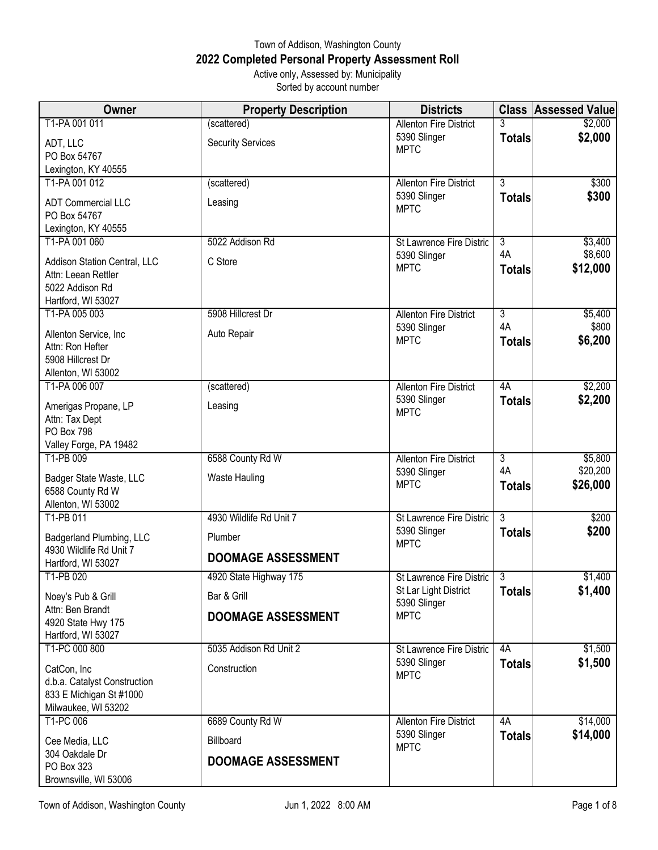## Town of Addison, Washington County **2022 Completed Personal Property Assessment Roll** Active only, Assessed by: Municipality

Sorted by account number

| Owner                                               | <b>Property Description</b> | <b>Districts</b>                              |                | <b>Class Assessed Value</b> |
|-----------------------------------------------------|-----------------------------|-----------------------------------------------|----------------|-----------------------------|
| T1-PA 001 011                                       | (scattered)                 | <b>Allenton Fire District</b>                 |                | \$2,000                     |
| ADT, LLC                                            | <b>Security Services</b>    | 5390 Slinger<br><b>MPTC</b>                   | <b>Totals</b>  | \$2,000                     |
| PO Box 54767                                        |                             |                                               |                |                             |
| Lexington, KY 40555                                 |                             |                                               |                |                             |
| T1-PA 001 012                                       | (scattered)                 | <b>Allenton Fire District</b><br>5390 Slinger | $\overline{3}$ | \$300<br>\$300              |
| <b>ADT Commercial LLC</b>                           | Leasing                     | <b>MPTC</b>                                   | <b>Totals</b>  |                             |
| PO Box 54767                                        |                             |                                               |                |                             |
| Lexington, KY 40555<br>T1-PA 001 060                | 5022 Addison Rd             | <b>St Lawrence Fire Distric</b>               | $\overline{3}$ | \$3,400                     |
|                                                     |                             | 5390 Slinger                                  | 4A             | \$8,600                     |
| Addison Station Central, LLC<br>Attn: Leean Rettler | C Store                     | <b>MPTC</b>                                   | <b>Totals</b>  | \$12,000                    |
| 5022 Addison Rd                                     |                             |                                               |                |                             |
| Hartford, WI 53027                                  |                             |                                               |                |                             |
| T1-PA 005 003                                       | 5908 Hillcrest Dr           | <b>Allenton Fire District</b>                 | $\overline{3}$ | \$5,400                     |
| Allenton Service, Inc                               | Auto Repair                 | 5390 Slinger                                  | 4A             | \$800                       |
| Attn: Ron Hefter                                    |                             | <b>MPTC</b>                                   | <b>Totals</b>  | \$6,200                     |
| 5908 Hillcrest Dr                                   |                             |                                               |                |                             |
| Allenton, WI 53002                                  |                             |                                               |                |                             |
| T1-PA 006 007                                       | (scattered)                 | <b>Allenton Fire District</b>                 | 4A             | \$2,200                     |
| Amerigas Propane, LP                                | Leasing                     | 5390 Slinger<br><b>MPTC</b>                   | <b>Totals</b>  | \$2,200                     |
| Attn: Tax Dept                                      |                             |                                               |                |                             |
| <b>PO Box 798</b><br>Valley Forge, PA 19482         |                             |                                               |                |                             |
| T1-PB 009                                           | 6588 County Rd W            | <b>Allenton Fire District</b>                 | $\overline{3}$ | \$5,800                     |
|                                                     |                             | 5390 Slinger                                  | 4A             | \$20,200                    |
| Badger State Waste, LLC<br>6588 County Rd W         | Waste Hauling               | <b>MPTC</b>                                   | <b>Totals</b>  | \$26,000                    |
| Allenton, WI 53002                                  |                             |                                               |                |                             |
| T1-PB 011                                           | 4930 Wildlife Rd Unit 7     | St Lawrence Fire Distric                      | $\overline{3}$ | \$200                       |
| Badgerland Plumbing, LLC                            | Plumber                     | 5390 Slinger                                  | <b>Totals</b>  | \$200                       |
| 4930 Wildlife Rd Unit 7                             | <b>DOOMAGE ASSESSMENT</b>   | <b>MPTC</b>                                   |                |                             |
| Hartford, WI 53027                                  |                             |                                               |                |                             |
| T1-PB 020                                           | 4920 State Highway 175      | St Lawrence Fire Distric                      | $\overline{3}$ | \$1,400                     |
| Noey's Pub & Grill                                  | Bar & Grill                 | St Lar Light District<br>5390 Slinger         | <b>Totals</b>  | \$1,400                     |
| Attn: Ben Brandt                                    | <b>DOOMAGE ASSESSMENT</b>   | <b>MPTC</b>                                   |                |                             |
| 4920 State Hwy 175<br>Hartford, WI 53027            |                             |                                               |                |                             |
| T1-PC 000 800                                       | 5035 Addison Rd Unit 2      | St Lawrence Fire Distric                      | 4A             | \$1,500                     |
| CatCon, Inc                                         | Construction                | 5390 Slinger                                  | <b>Totals</b>  | \$1,500                     |
| d.b.a. Catalyst Construction                        |                             | <b>MPTC</b>                                   |                |                             |
| 833 E Michigan St #1000                             |                             |                                               |                |                             |
| Milwaukee, WI 53202                                 |                             |                                               |                |                             |
| T1-PC 006                                           | 6689 County Rd W            | <b>Allenton Fire District</b>                 | 4A             | \$14,000                    |
| Cee Media, LLC                                      | Billboard                   | 5390 Slinger<br><b>MPTC</b>                   | <b>Totals</b>  | \$14,000                    |
| 304 Oakdale Dr                                      | <b>DOOMAGE ASSESSMENT</b>   |                                               |                |                             |
| PO Box 323                                          |                             |                                               |                |                             |
| Brownsville, WI 53006                               |                             |                                               |                |                             |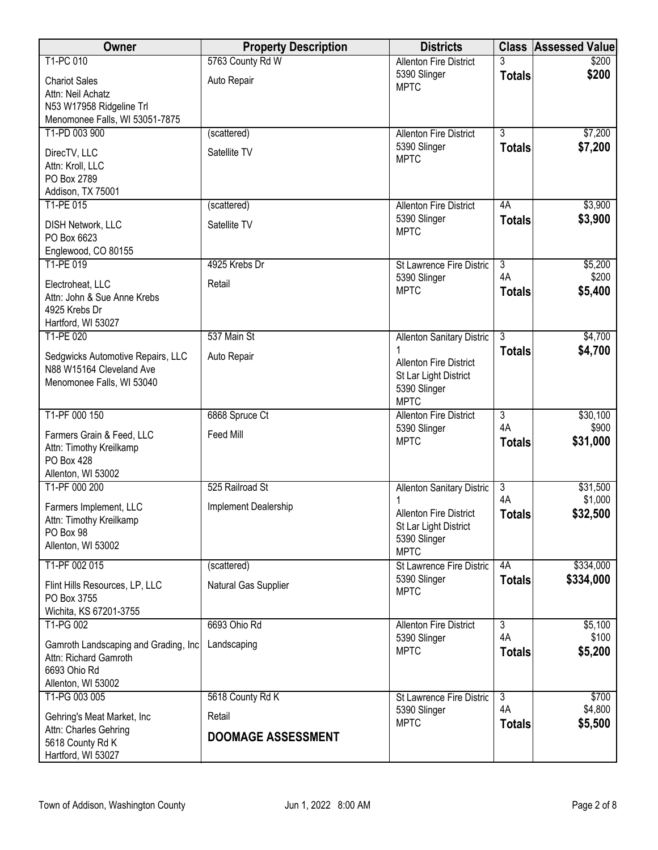| Owner                                                                                               | <b>Property Description</b>         | <b>Districts</b>                                                                      | <b>Class</b>        | <b>Assessed Value</b> |
|-----------------------------------------------------------------------------------------------------|-------------------------------------|---------------------------------------------------------------------------------------|---------------------|-----------------------|
| T1-PC 010                                                                                           | 5763 County Rd W                    | <b>Allenton Fire District</b>                                                         |                     | \$200                 |
| <b>Chariot Sales</b><br>Attn: Neil Achatz                                                           | Auto Repair                         | 5390 Slinger<br><b>MPTC</b>                                                           | <b>Totals</b>       | \$200                 |
| N53 W17958 Ridgeline Trl<br>Menomonee Falls, WI 53051-7875                                          |                                     |                                                                                       |                     |                       |
| T1-PD 003 900                                                                                       | (scattered)                         | <b>Allenton Fire District</b>                                                         | $\overline{3}$      | \$7,200               |
| DirecTV, LLC<br>Attn: Kroll, LLC<br>PO Box 2789<br>Addison, TX 75001                                | Satellite TV                        | 5390 Slinger<br><b>MPTC</b>                                                           | <b>Totals</b>       | \$7,200               |
| T1-PE 015                                                                                           | (scattered)                         | <b>Allenton Fire District</b>                                                         | 4A                  | \$3,900               |
| <b>DISH Network, LLC</b><br>PO Box 6623<br>Englewood, CO 80155                                      | Satellite TV                        | 5390 Slinger<br><b>MPTC</b>                                                           | <b>Totals</b>       | \$3,900               |
| T1-PE 019                                                                                           | 4925 Krebs Dr                       | St Lawrence Fire Distric                                                              | $\overline{3}$      | \$5,200               |
| Electroheat, LLC<br>Attn: John & Sue Anne Krebs<br>4925 Krebs Dr<br>Hartford, WI 53027              | Retail                              | 5390 Slinger<br><b>MPTC</b>                                                           | 4A<br><b>Totals</b> | \$200<br>\$5,400      |
| T1-PE 020                                                                                           | 537 Main St                         | <b>Allenton Sanitary Distric</b>                                                      | $\overline{3}$      | \$4,700               |
| Sedgwicks Automotive Repairs, LLC<br>N88 W15164 Cleveland Ave<br>Menomonee Falls, WI 53040          | Auto Repair                         | <b>Allenton Fire District</b><br>St Lar Light District<br>5390 Slinger<br><b>MPTC</b> | <b>Totals</b>       | \$4,700               |
| T1-PF 000 150                                                                                       | 6868 Spruce Ct                      | <b>Allenton Fire District</b>                                                         | $\overline{3}$      | \$30,100              |
| Farmers Grain & Feed, LLC<br>Attn: Timothy Kreilkamp<br><b>PO Box 428</b><br>Allenton, WI 53002     | Feed Mill                           | 5390 Slinger<br><b>MPTC</b>                                                           | 4A<br><b>Totals</b> | \$900<br>\$31,000     |
| T1-PF 000 200                                                                                       | 525 Railroad St                     | <b>Allenton Sanitary Distric</b>                                                      | $\overline{3}$      | \$31,500              |
| Farmers Implement, LLC<br>Attn: Timothy Kreilkamp<br>PO Box 98<br>Allenton, WI 53002                | Implement Dealership                | <b>Allenton Fire District</b><br>St Lar Light District<br>5390 Slinger<br><b>MPTC</b> | 4A<br><b>Totals</b> | \$1,000<br>\$32,500   |
| T1-PF 002 015                                                                                       | (scattered)                         | St Lawrence Fire Distric                                                              | 4A                  | \$334,000             |
| Flint Hills Resources, LP, LLC<br>PO Box 3755<br>Wichita, KS 67201-3755                             | Natural Gas Supplier                | 5390 Slinger<br><b>MPTC</b>                                                           | <b>Totals</b>       | \$334,000             |
| T1-PG 002                                                                                           | 6693 Ohio Rd                        | <b>Allenton Fire District</b>                                                         | $\overline{3}$      | \$5,100               |
| Gamroth Landscaping and Grading, Inc<br>Attn: Richard Gamroth<br>6693 Ohio Rd<br>Allenton, WI 53002 | Landscaping                         | 5390 Slinger<br><b>MPTC</b>                                                           | 4A<br><b>Totals</b> | \$100<br>\$5,200      |
| T1-PG 003 005                                                                                       | 5618 County Rd K                    | St Lawrence Fire Distric                                                              | $\overline{3}$      | \$700                 |
| Gehring's Meat Market, Inc<br>Attn: Charles Gehring                                                 | Retail<br><b>DOOMAGE ASSESSMENT</b> | 5390 Slinger<br><b>MPTC</b>                                                           | 4A<br><b>Totals</b> | \$4,800<br>\$5,500    |
| 5618 County Rd K<br>Hartford, WI 53027                                                              |                                     |                                                                                       |                     |                       |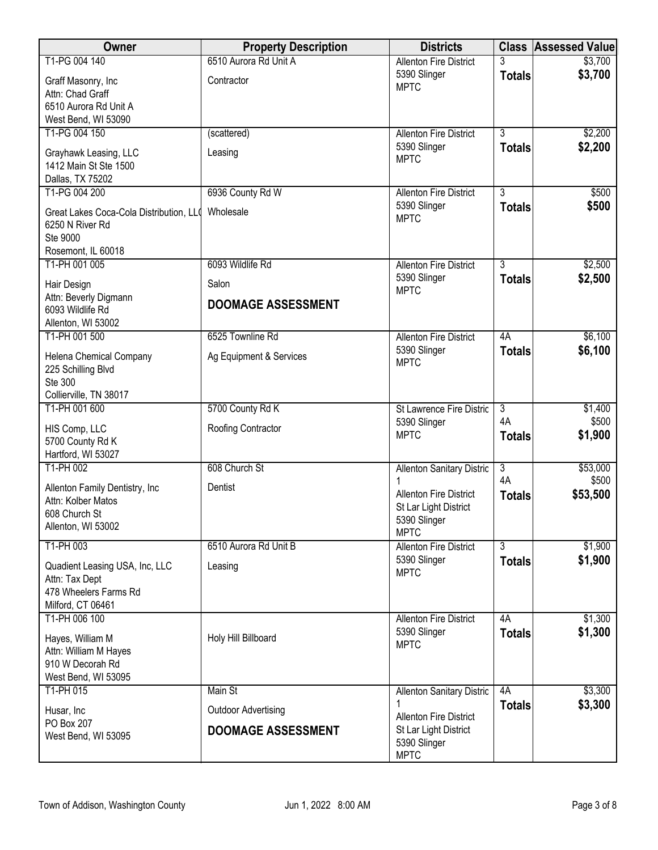| Owner                                         | <b>Property Description</b> | <b>Districts</b>                                     | <b>Class</b>              | <b>Assessed Value</b> |
|-----------------------------------------------|-----------------------------|------------------------------------------------------|---------------------------|-----------------------|
| T1-PG 004 140                                 | 6510 Aurora Rd Unit A       | <b>Allenton Fire District</b>                        | 3                         | \$3,700               |
| Graff Masonry, Inc                            | Contractor                  | 5390 Slinger<br><b>MPTC</b>                          | <b>Totals</b>             | \$3,700               |
| Attn: Chad Graff                              |                             |                                                      |                           |                       |
| 6510 Aurora Rd Unit A<br>West Bend, WI 53090  |                             |                                                      |                           |                       |
| T1-PG 004 150                                 | (scattered)                 | <b>Allenton Fire District</b>                        | $\overline{3}$            | \$2,200               |
| Grayhawk Leasing, LLC                         | Leasing                     | 5390 Slinger                                         | <b>Totals</b>             | \$2,200               |
| 1412 Main St Ste 1500                         |                             | <b>MPTC</b>                                          |                           |                       |
| Dallas, TX 75202                              |                             |                                                      |                           |                       |
| T1-PG 004 200                                 | 6936 County Rd W            | <b>Allenton Fire District</b>                        | $\overline{3}$            | \$500                 |
| Great Lakes Coca-Cola Distribution, LLO       | Wholesale                   | 5390 Slinger<br><b>MPTC</b>                          | <b>Totals</b>             | \$500                 |
| 6250 N River Rd<br>Ste 9000                   |                             |                                                      |                           |                       |
| Rosemont, IL 60018                            |                             |                                                      |                           |                       |
| T1-PH 001 005                                 | 6093 Wildlife Rd            | <b>Allenton Fire District</b>                        | 3                         | \$2,500               |
| Hair Design                                   | Salon                       | 5390 Slinger                                         | <b>Totals</b>             | \$2,500               |
| Attn: Beverly Digmann                         | <b>DOOMAGE ASSESSMENT</b>   | <b>MPTC</b>                                          |                           |                       |
| 6093 Wildlife Rd                              |                             |                                                      |                           |                       |
| Allenton, WI 53002<br>T1-PH 001 500           | 6525 Townline Rd            | <b>Allenton Fire District</b>                        | 4A                        | \$6,100               |
|                                               |                             | 5390 Slinger                                         | <b>Totals</b>             | \$6,100               |
| Helena Chemical Company<br>225 Schilling Blvd | Ag Equipment & Services     | <b>MPTC</b>                                          |                           |                       |
| Ste 300                                       |                             |                                                      |                           |                       |
| Collierville, TN 38017                        |                             |                                                      |                           |                       |
| T1-PH 001 600                                 | 5700 County Rd K            | St Lawrence Fire Distric                             | $\overline{3}$<br>4A      | \$1,400<br>\$500      |
| HIS Comp, LLC                                 | Roofing Contractor          | 5390 Slinger<br><b>MPTC</b>                          | <b>Totals</b>             | \$1,900               |
| 5700 County Rd K<br>Hartford, WI 53027        |                             |                                                      |                           |                       |
| T1-PH 002                                     | 608 Church St               | <b>Allenton Sanitary Distric</b>                     | $\overline{\overline{3}}$ | \$53,000              |
| Allenton Family Dentistry, Inc                | Dentist                     |                                                      | 4A                        | \$500                 |
| Attn: Kolber Matos                            |                             | <b>Allenton Fire District</b>                        | <b>Totals</b>             | \$53,500              |
| 608 Church St                                 |                             | St Lar Light District<br>5390 Slinger                |                           |                       |
| Allenton, WI 53002                            |                             | <b>MPTC</b>                                          |                           |                       |
| T1-PH 003                                     | 6510 Aurora Rd Unit B       | <b>Allenton Fire District</b>                        | $\overline{3}$            | \$1,900               |
| Quadient Leasing USA, Inc, LLC                | Leasing                     | 5390 Slinger<br><b>MPTC</b>                          | <b>Totals</b>             | \$1,900               |
| Attn: Tax Dept                                |                             |                                                      |                           |                       |
| 478 Wheelers Farms Rd<br>Milford, CT 06461    |                             |                                                      |                           |                       |
| T1-PH 006 100                                 |                             | <b>Allenton Fire District</b>                        | 4A                        | \$1,300               |
| Hayes, William M                              | Holy Hill Billboard         | 5390 Slinger                                         | <b>Totals</b>             | \$1,300               |
| Attn: William M Hayes                         |                             | <b>MPTC</b>                                          |                           |                       |
| 910 W Decorah Rd                              |                             |                                                      |                           |                       |
| West Bend, WI 53095<br>T1-PH 015              | Main St                     |                                                      | 4A                        | \$3,300               |
|                                               |                             | <b>Allenton Sanitary Distric</b>                     | <b>Totals</b>             | \$3,300               |
| Husar, Inc<br>PO Box 207                      | <b>Outdoor Advertising</b>  | <b>Allenton Fire District</b>                        |                           |                       |
| West Bend, WI 53095                           | <b>DOOMAGE ASSESSMENT</b>   | St Lar Light District<br>5390 Slinger<br><b>MPTC</b> |                           |                       |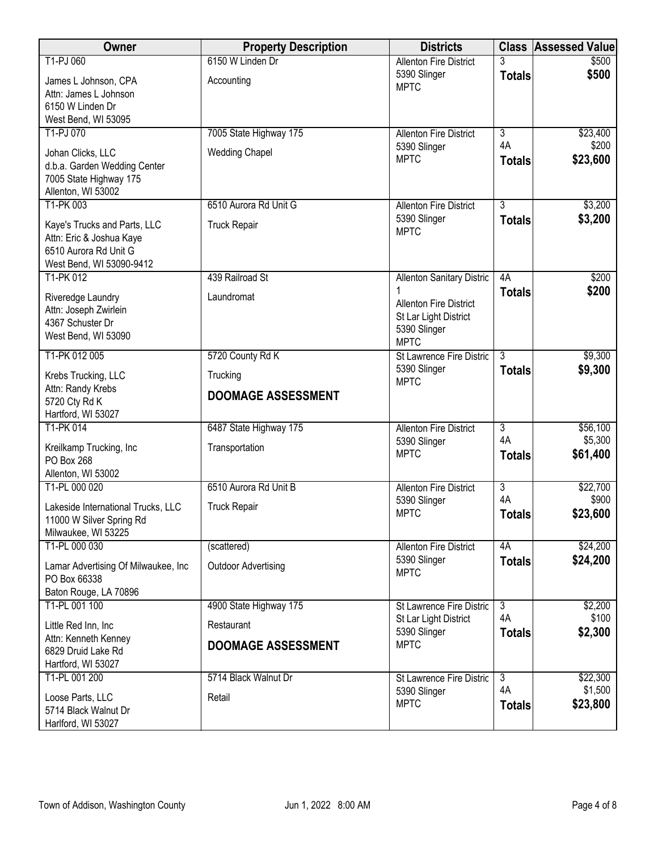| Owner                                                    | <b>Property Description</b> | <b>Districts</b>                               |                      | <b>Class Assessed Value</b> |
|----------------------------------------------------------|-----------------------------|------------------------------------------------|----------------------|-----------------------------|
| T1-PJ 060                                                | 6150 W Linden Dr            | <b>Allenton Fire District</b>                  | 3                    | \$500                       |
| James L Johnson, CPA                                     | Accounting                  | 5390 Slinger<br><b>MPTC</b>                    | <b>Totals</b>        | \$500                       |
| Attn: James L Johnson                                    |                             |                                                |                      |                             |
| 6150 W Linden Dr<br>West Bend, WI 53095                  |                             |                                                |                      |                             |
| T1-PJ 070                                                | 7005 State Highway 175      | <b>Allenton Fire District</b>                  | $\overline{3}$       | \$23,400                    |
| Johan Clicks, LLC                                        | <b>Wedding Chapel</b>       | 5390 Slinger                                   | 4A                   | \$200                       |
| d.b.a. Garden Wedding Center                             |                             | <b>MPTC</b>                                    | <b>Totals</b>        | \$23,600                    |
| 7005 State Highway 175                                   |                             |                                                |                      |                             |
| Allenton, WI 53002<br>T1-PK 003                          | 6510 Aurora Rd Unit G       | <b>Allenton Fire District</b>                  | $\overline{3}$       | \$3,200                     |
|                                                          |                             | 5390 Slinger                                   | <b>Totals</b>        | \$3,200                     |
| Kaye's Trucks and Parts, LLC<br>Attn: Eric & Joshua Kaye | <b>Truck Repair</b>         | <b>MPTC</b>                                    |                      |                             |
| 6510 Aurora Rd Unit G                                    |                             |                                                |                      |                             |
| West Bend, WI 53090-9412                                 |                             |                                                |                      |                             |
| T1-PK 012                                                | 439 Railroad St             | <b>Allenton Sanitary Distric</b>               | 4A                   | \$200                       |
| Riveredge Laundry                                        | Laundromat                  | <b>Allenton Fire District</b>                  | <b>Totals</b>        | \$200                       |
| Attn: Joseph Zwirlein<br>4367 Schuster Dr                |                             | St Lar Light District                          |                      |                             |
| West Bend, WI 53090                                      |                             | 5390 Slinger                                   |                      |                             |
| T1-PK 012 005                                            | 5720 County Rd K            | <b>MPTC</b><br><b>St Lawrence Fire Distric</b> | 3                    | \$9,300                     |
|                                                          |                             | 5390 Slinger                                   | <b>Totals</b>        | \$9,300                     |
| Krebs Trucking, LLC<br>Attn: Randy Krebs                 | Trucking                    | <b>MPTC</b>                                    |                      |                             |
| 5720 Cty Rd K                                            | <b>DOOMAGE ASSESSMENT</b>   |                                                |                      |                             |
| Hartford, WI 53027                                       |                             |                                                |                      |                             |
| T1-PK 014                                                | 6487 State Highway 175      | <b>Allenton Fire District</b><br>5390 Slinger  | $\overline{3}$<br>4A | \$56,100<br>\$5,300         |
| Kreilkamp Trucking, Inc<br>PO Box 268                    | Transportation              | <b>MPTC</b>                                    | <b>Totals</b>        | \$61,400                    |
| Allenton, WI 53002                                       |                             |                                                |                      |                             |
| T1-PL 000 020                                            | 6510 Aurora Rd Unit B       | <b>Allenton Fire District</b>                  | $\overline{3}$       | \$22,700                    |
| Lakeside International Trucks, LLC                       | <b>Truck Repair</b>         | 5390 Slinger                                   | 4A                   | \$900                       |
| 11000 W Silver Spring Rd                                 |                             | <b>MPTC</b>                                    | <b>Totals</b>        | \$23,600                    |
| Milwaukee, WI 53225                                      |                             |                                                |                      |                             |
| T1-PL 000 030                                            | (scattered)                 | <b>Allenton Fire District</b><br>5390 Slinger  | 4A<br><b>Totals</b>  | \$24,200<br>\$24,200        |
| Lamar Advertising Of Milwaukee, Inc<br>PO Box 66338      | <b>Outdoor Advertising</b>  | <b>MPTC</b>                                    |                      |                             |
| Baton Rouge, LA 70896                                    |                             |                                                |                      |                             |
| T1-PL 001 100                                            | 4900 State Highway 175      | St Lawrence Fire Distric                       | $\overline{3}$       | \$2,200                     |
| Little Red Inn, Inc                                      | Restaurant                  | St Lar Light District                          | 4A                   | \$100                       |
| Attn: Kenneth Kenney                                     | <b>DOOMAGE ASSESSMENT</b>   | 5390 Slinger<br><b>MPTC</b>                    | <b>Totals</b>        | \$2,300                     |
| 6829 Druid Lake Rd                                       |                             |                                                |                      |                             |
| Hartford, WI 53027<br>T1-PL 001 200                      | 5714 Black Walnut Dr        | <b>St Lawrence Fire Distric</b>                | $\overline{3}$       | \$22,300                    |
| Loose Parts, LLC                                         | Retail                      | 5390 Slinger                                   | 4A                   | \$1,500                     |
| 5714 Black Walnut Dr                                     |                             | <b>MPTC</b>                                    | <b>Totals</b>        | \$23,800                    |
| Harlford, WI 53027                                       |                             |                                                |                      |                             |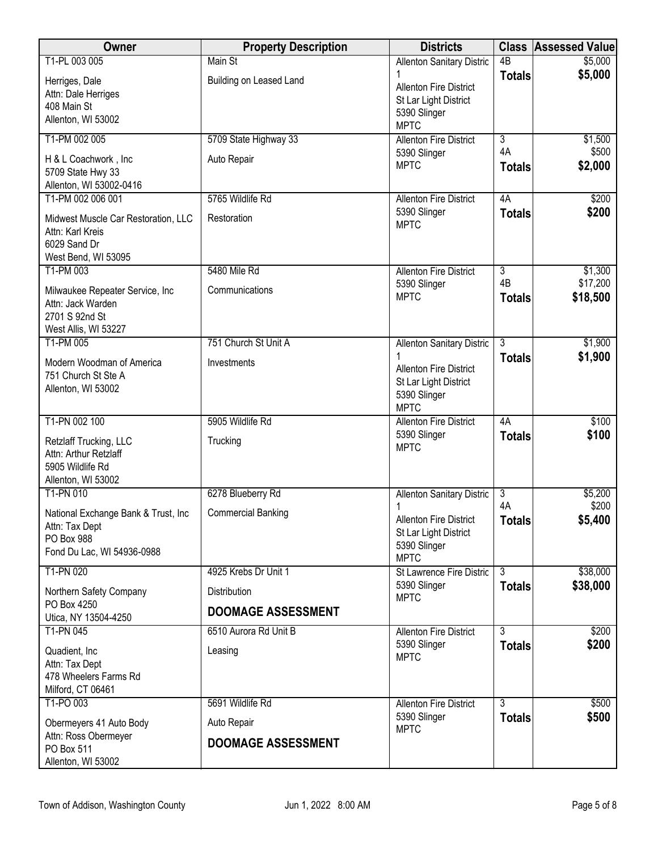| Owner                                                 | <b>Property Description</b> | <b>Districts</b>                              |                                            | <b>Class Assessed Value</b> |
|-------------------------------------------------------|-----------------------------|-----------------------------------------------|--------------------------------------------|-----------------------------|
| T1-PL 003 005                                         | Main St                     | <b>Allenton Sanitary Distric</b>              | $\overline{AB}$                            | \$5,000                     |
| Herriges, Dale                                        | Building on Leased Land     | <b>Allenton Fire District</b>                 | <b>Totals</b>                              | \$5,000                     |
| Attn: Dale Herriges                                   |                             | St Lar Light District                         |                                            |                             |
| 408 Main St<br>Allenton, WI 53002                     |                             | 5390 Slinger                                  |                                            |                             |
|                                                       |                             | <b>MPTC</b>                                   |                                            |                             |
| T1-PM 002 005                                         | 5709 State Highway 33       | <b>Allenton Fire District</b><br>5390 Slinger | $\overline{3}$<br>4A                       | \$1,500<br>\$500            |
| H & L Coachwork, Inc                                  | Auto Repair                 | <b>MPTC</b>                                   | <b>Totals</b>                              | \$2,000                     |
| 5709 State Hwy 33<br>Allenton, WI 53002-0416          |                             |                                               |                                            |                             |
| T1-PM 002 006 001                                     | 5765 Wildlife Rd            | <b>Allenton Fire District</b>                 | 4A                                         | \$200                       |
| Midwest Muscle Car Restoration, LLC                   | Restoration                 | 5390 Slinger                                  | <b>Totals</b>                              | \$200                       |
| Attn: Karl Kreis                                      |                             | <b>MPTC</b>                                   |                                            |                             |
| 6029 Sand Dr                                          |                             |                                               |                                            |                             |
| West Bend, WI 53095                                   |                             |                                               |                                            |                             |
| T1-PM 003                                             | 5480 Mile Rd                | <b>Allenton Fire District</b>                 | $\overline{3}$<br>4B                       | \$1,300<br>\$17,200         |
| Milwaukee Repeater Service, Inc                       | Communications              | 5390 Slinger<br><b>MPTC</b>                   | <b>Totals</b>                              | \$18,500                    |
| Attn: Jack Warden                                     |                             |                                               |                                            |                             |
| 2701 S 92nd St<br>West Allis, WI 53227                |                             |                                               |                                            |                             |
| T1-PM 005                                             | 751 Church St Unit A        | <b>Allenton Sanitary Distric</b>              | $\overline{3}$                             | \$1,900                     |
| Modern Woodman of America                             | Investments                 |                                               | <b>Totals</b>                              | \$1,900                     |
| 751 Church St Ste A                                   |                             | <b>Allenton Fire District</b>                 |                                            |                             |
| Allenton, WI 53002                                    |                             | St Lar Light District<br>5390 Slinger         |                                            |                             |
|                                                       |                             | <b>MPTC</b>                                   |                                            |                             |
| T1-PN 002 100                                         | 5905 Wildlife Rd            | <b>Allenton Fire District</b>                 | 4A                                         | \$100                       |
| Retzlaff Trucking, LLC                                | Trucking                    | 5390 Slinger                                  | <b>Totals</b>                              | \$100                       |
| Attn: Arthur Retzlaff                                 |                             | <b>MPTC</b>                                   |                                            |                             |
| 5905 Wildlife Rd                                      |                             |                                               |                                            |                             |
| Allenton, WI 53002<br>T1-PN 010                       | 6278 Blueberry Rd           | Allenton Sanitary Distric                     | $\overline{3}$                             | \$5,200                     |
|                                                       |                             | 1                                             | 4A                                         | \$200                       |
| National Exchange Bank & Trust, Inc<br>Attn: Tax Dept | <b>Commercial Banking</b>   | <b>Allenton Fire District</b>                 | <b>Totals</b>                              | \$5,400                     |
| PO Box 988                                            |                             | St Lar Light District                         |                                            |                             |
| Fond Du Lac, WI 54936-0988                            |                             | 5390 Slinger<br><b>MPTC</b>                   |                                            |                             |
| T1-PN 020                                             | 4925 Krebs Dr Unit 1        | St Lawrence Fire Distric                      | $\overline{3}$                             | \$38,000                    |
| Northern Safety Company                               | Distribution                | 5390 Slinger                                  | <b>Totals</b>                              | \$38,000                    |
| PO Box 4250                                           | <b>DOOMAGE ASSESSMENT</b>   | <b>MPTC</b>                                   |                                            |                             |
| Utica, NY 13504-4250                                  |                             |                                               |                                            |                             |
| T1-PN 045                                             | 6510 Aurora Rd Unit B       | <b>Allenton Fire District</b><br>5390 Slinger | $\overline{\overline{3}}$<br><b>Totals</b> | \$200<br>\$200              |
| Quadient, Inc.                                        | Leasing                     | <b>MPTC</b>                                   |                                            |                             |
| Attn: Tax Dept<br>478 Wheelers Farms Rd               |                             |                                               |                                            |                             |
| Milford, CT 06461                                     |                             |                                               |                                            |                             |
| T1-PO 003                                             | 5691 Wildlife Rd            | <b>Allenton Fire District</b>                 | $\overline{3}$                             | \$500                       |
| Obermeyers 41 Auto Body                               | Auto Repair                 | 5390 Slinger                                  | <b>Totals</b>                              | \$500                       |
| Attn: Ross Obermeyer                                  | <b>DOOMAGE ASSESSMENT</b>   | <b>MPTC</b>                                   |                                            |                             |
| PO Box 511                                            |                             |                                               |                                            |                             |
| Allenton, WI 53002                                    |                             |                                               |                                            |                             |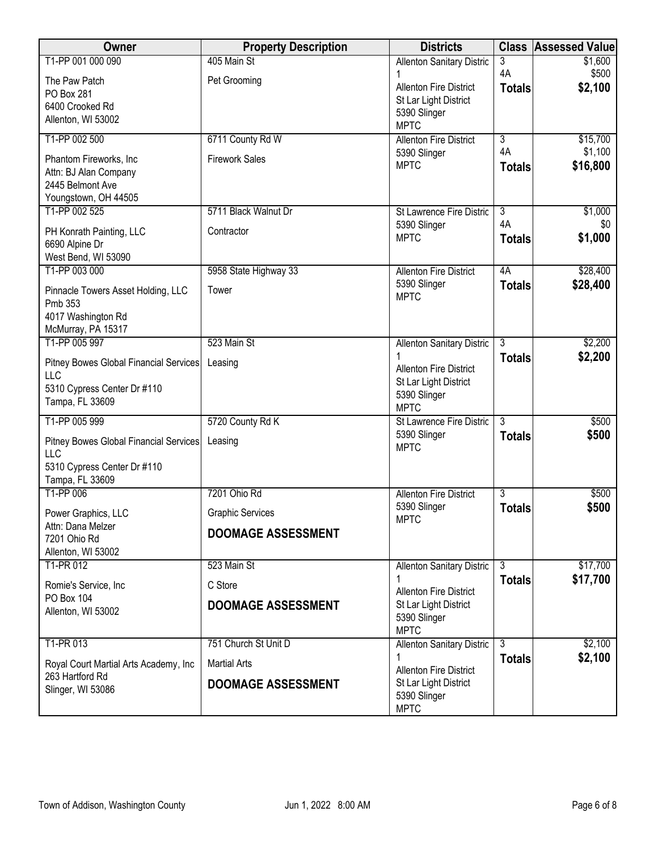| Owner                                                    | <b>Property Description</b> | <b>Districts</b>                                       | <b>Class</b>                    | <b>Assessed Value</b> |
|----------------------------------------------------------|-----------------------------|--------------------------------------------------------|---------------------------------|-----------------------|
| T1-PP 001 000 090                                        | 405 Main St                 | Allenton Sanitary Distric                              | 3<br>4A                         | \$1,600<br>\$500      |
| The Paw Patch                                            | Pet Grooming                | <b>Allenton Fire District</b>                          | <b>Totals</b>                   | \$2,100               |
| PO Box 281<br>6400 Crooked Rd                            |                             | St Lar Light District                                  |                                 |                       |
| Allenton, WI 53002                                       |                             | 5390 Slinger<br><b>MPTC</b>                            |                                 |                       |
| T1-PP 002 500                                            | 6711 County Rd W            | <b>Allenton Fire District</b>                          | $\overline{3}$                  | \$15,700              |
| Phantom Fireworks, Inc.                                  | <b>Firework Sales</b>       | 5390 Slinger                                           | 4A                              | \$1,100               |
| Attn: BJ Alan Company                                    |                             | <b>MPTC</b>                                            | <b>Totals</b>                   | \$16,800              |
| 2445 Belmont Ave                                         |                             |                                                        |                                 |                       |
| Youngstown, OH 44505<br>T1-PP 002 525                    | 5711 Black Walnut Dr        | St Lawrence Fire Distric                               | $\overline{3}$                  | \$1,000               |
| PH Konrath Painting, LLC                                 | Contractor                  | 5390 Slinger                                           | 4A                              | \$0                   |
| 6690 Alpine Dr                                           |                             | <b>MPTC</b>                                            | <b>Totals</b>                   | \$1,000               |
| West Bend, WI 53090                                      |                             |                                                        |                                 |                       |
| T1-PP 003 000                                            | 5958 State Highway 33       | <b>Allenton Fire District</b>                          | 4A                              | \$28,400              |
| Pinnacle Towers Asset Holding, LLC                       | Tower                       | 5390 Slinger<br><b>MPTC</b>                            | <b>Totals</b>                   | \$28,400              |
| Pmb 353<br>4017 Washington Rd                            |                             |                                                        |                                 |                       |
| McMurray, PA 15317                                       |                             |                                                        |                                 |                       |
| T1-PP 005 997                                            | 523 Main St                 | Allenton Sanitary Distric                              | 3                               | \$2,200               |
| Pitney Bowes Global Financial Services                   | Leasing                     | <b>Allenton Fire District</b>                          | <b>Totals</b>                   | \$2,200               |
| <b>LLC</b><br>5310 Cypress Center Dr #110                |                             | St Lar Light District                                  |                                 |                       |
| Tampa, FL 33609                                          |                             | 5390 Slinger<br><b>MPTC</b>                            |                                 |                       |
| T1-PP 005 999                                            | 5720 County Rd K            | <b>St Lawrence Fire Distric</b>                        | 3                               | \$500                 |
| Pitney Bowes Global Financial Services                   | Leasing                     | 5390 Slinger                                           | <b>Totals</b>                   | \$500                 |
| LLC                                                      |                             | <b>MPTC</b>                                            |                                 |                       |
| 5310 Cypress Center Dr #110                              |                             |                                                        |                                 |                       |
| Tampa, FL 33609<br>T1-PP 006                             | 7201 Ohio Rd                | <b>Allenton Fire District</b>                          | 3                               | \$500                 |
| Power Graphics, LLC                                      | <b>Graphic Services</b>     | 5390 Slinger                                           | <b>Totals</b>                   | \$500                 |
| Attn: Dana Melzer                                        | <b>DOOMAGE ASSESSMENT</b>   | <b>MPTC</b>                                            |                                 |                       |
| 7201 Ohio Rd<br>Allenton, WI 53002                       |                             |                                                        |                                 |                       |
| T1-PR 012                                                | 523 Main St                 | Allenton Sanitary Distric                              | $\overline{3}$                  | \$17,700              |
| Romie's Service, Inc                                     | C Store                     |                                                        | <b>Totals</b>                   | \$17,700              |
| PO Box 104                                               | <b>DOOMAGE ASSESSMENT</b>   | <b>Allenton Fire District</b><br>St Lar Light District |                                 |                       |
| Allenton, WI 53002                                       |                             | 5390 Slinger                                           |                                 |                       |
|                                                          |                             | <b>MPTC</b>                                            |                                 |                       |
| T1-PR 013                                                | 751 Church St Unit D        | Allenton Sanitary Distric                              | $\overline{3}$<br><b>Totals</b> | \$2,100<br>\$2,100    |
| Royal Court Martial Arts Academy, Inc<br>263 Hartford Rd | <b>Martial Arts</b>         | <b>Allenton Fire District</b>                          |                                 |                       |
| Slinger, WI 53086                                        | <b>DOOMAGE ASSESSMENT</b>   | St Lar Light District                                  |                                 |                       |
|                                                          |                             | 5390 Slinger<br><b>MPTC</b>                            |                                 |                       |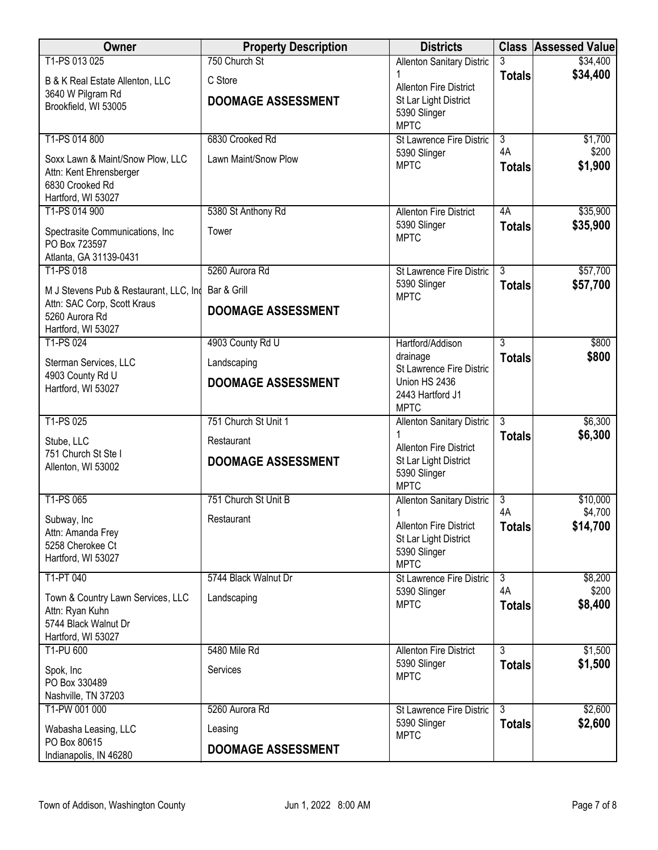| Owner                                         | <b>Property Description</b> | <b>Districts</b>                         |                                 | <b>Class Assessed Value</b> |
|-----------------------------------------------|-----------------------------|------------------------------------------|---------------------------------|-----------------------------|
| T1-PS 013 025                                 | 750 Church St               | <b>Allenton Sanitary Distric</b>         |                                 | \$34,400                    |
| B & K Real Estate Allenton, LLC               | C Store                     | <b>Allenton Fire District</b>            | <b>Totals</b>                   | \$34,400                    |
| 3640 W Pilgram Rd                             | <b>DOOMAGE ASSESSMENT</b>   | St Lar Light District                    |                                 |                             |
| Brookfield, WI 53005                          |                             | 5390 Slinger                             |                                 |                             |
|                                               |                             | <b>MPTC</b>                              |                                 |                             |
| T1-PS 014 800                                 | 6830 Crooked Rd             | St Lawrence Fire Distric<br>5390 Slinger | $\overline{3}$<br>4A            | \$1,700<br>\$200            |
| Soxx Lawn & Maint/Snow Plow, LLC              | Lawn Maint/Snow Plow        | <b>MPTC</b>                              | <b>Totals</b>                   | \$1,900                     |
| Attn: Kent Ehrensberger<br>6830 Crooked Rd    |                             |                                          |                                 |                             |
| Hartford, WI 53027                            |                             |                                          |                                 |                             |
| T1-PS 014 900                                 | 5380 St Anthony Rd          | <b>Allenton Fire District</b>            | 4A                              | \$35,900                    |
| Spectrasite Communications, Inc               | Tower                       | 5390 Slinger                             | <b>Totals</b>                   | \$35,900                    |
| PO Box 723597                                 |                             | <b>MPTC</b>                              |                                 |                             |
| Atlanta, GA 31139-0431                        |                             |                                          |                                 |                             |
| T1-PS 018                                     | 5260 Aurora Rd              | St Lawrence Fire Distric<br>5390 Slinger | $\overline{3}$<br><b>Totals</b> | \$57,700<br>\$57,700        |
| M J Stevens Pub & Restaurant, LLC, Ind        | Bar & Grill                 | <b>MPTC</b>                              |                                 |                             |
| Attn: SAC Corp, Scott Kraus<br>5260 Aurora Rd | <b>DOOMAGE ASSESSMENT</b>   |                                          |                                 |                             |
| Hartford, WI 53027                            |                             |                                          |                                 |                             |
| T1-PS 024                                     | 4903 County Rd U            | Hartford/Addison                         | 3                               | \$800                       |
| Sterman Services, LLC                         | Landscaping                 | drainage<br>St Lawrence Fire Distric     | <b>Totals</b>                   | \$800                       |
| 4903 County Rd U                              | <b>DOOMAGE ASSESSMENT</b>   | Union HS 2436                            |                                 |                             |
| Hartford, WI 53027                            |                             | 2443 Hartford J1                         |                                 |                             |
|                                               |                             | <b>MPTC</b>                              |                                 |                             |
| T1-PS 025                                     | 751 Church St Unit 1        | <b>Allenton Sanitary Distric</b>         | 3                               | \$6,300<br>\$6,300          |
| Stube, LLC                                    | Restaurant                  | <b>Allenton Fire District</b>            | <b>Totals</b>                   |                             |
| 751 Church St Ste I<br>Allenton, WI 53002     | <b>DOOMAGE ASSESSMENT</b>   | St Lar Light District                    |                                 |                             |
|                                               |                             | 5390 Slinger<br><b>MPTC</b>              |                                 |                             |
| T1-PS 065                                     | 751 Church St Unit B        | <b>Allenton Sanitary Distric</b>         | $\overline{3}$                  | \$10,000                    |
|                                               |                             | 1                                        | 4A                              | \$4,700                     |
| Subway, Inc<br>Attn: Amanda Frey              | Restaurant                  | <b>Allenton Fire District</b>            | <b>Totals</b>                   | \$14,700                    |
| 5258 Cherokee Ct                              |                             | St Lar Light District<br>5390 Slinger    |                                 |                             |
| Hartford, WI 53027                            |                             | <b>MPTC</b>                              |                                 |                             |
| T1-PT 040                                     | 5744 Black Walnut Dr        | St Lawrence Fire Distric                 | $\overline{3}$                  | \$8,200                     |
| Town & Country Lawn Services, LLC             | Landscaping                 | 5390 Slinger                             | 4A                              | \$200                       |
| Attn: Ryan Kuhn                               |                             | <b>MPTC</b>                              | <b>Totals</b>                   | \$8,400                     |
| 5744 Black Walnut Dr                          |                             |                                          |                                 |                             |
| Hartford, WI 53027<br>T1-PU 600               | 5480 Mile Rd                | <b>Allenton Fire District</b>            | $\overline{3}$                  | \$1,500                     |
|                                               |                             | 5390 Slinger                             | <b>Totals</b>                   | \$1,500                     |
| Spok, Inc<br>PO Box 330489                    | Services                    | <b>MPTC</b>                              |                                 |                             |
| Nashville, TN 37203                           |                             |                                          |                                 |                             |
| T1-PW 001 000                                 | 5260 Aurora Rd              | St Lawrence Fire Distric                 | $\overline{3}$                  | \$2,600                     |
| Wabasha Leasing, LLC                          | Leasing                     | 5390 Slinger<br><b>MPTC</b>              | <b>Totals</b>                   | \$2,600                     |
| PO Box 80615                                  | <b>DOOMAGE ASSESSMENT</b>   |                                          |                                 |                             |
| Indianapolis, IN 46280                        |                             |                                          |                                 |                             |